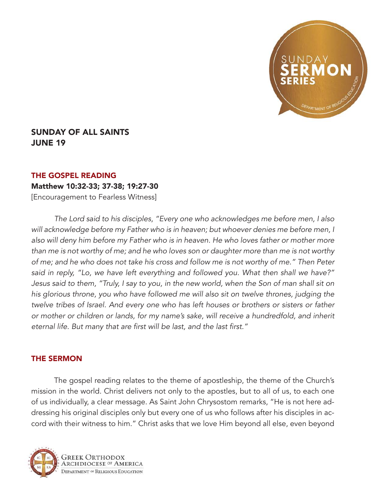

## SUNDAY OF ALL SAINTS JUNE 19

## THE GOSPEL READING

## Matthew 10:32-33; 37-38; 19:27-30

[Encouragement to Fearless Witness]

*The Lord said to his disciples, "Every one who acknowledges me before men, I also will acknowledge before my Father who is in heaven; but whoever denies me before men, I also will deny him before my Father who is in heaven. He who loves father or mother more than me is not worthy of me; and he who loves son or daughter more than me is not worthy of me; and he who does not take his cross and follow me is not worthy of me." Then Peter said in reply, "Lo, we have left everything and followed you. What then shall we have?" Jesus said to them, "Truly, I say to you, in the new world, when the Son of man shall sit on his glorious throne, you who have followed me will also sit on twelve thrones, judging the twelve tribes of Israel. And every one who has left houses or brothers or sisters or father or mother or children or lands, for my name's sake, will receive a hundredfold, and inherit*  eternal life. But many that are first will be last, and the last first."

## THE SERMON

The gospel reading relates to the theme of apostleship, the theme of the Church's mission in the world. Christ delivers not only to the apostles, but to all of us, to each one of us individually, a clear message. As Saint John Chrysostom remarks, "He is not here addressing his original disciples only but every one of us who follows after his disciples in accord with their witness to him." Christ asks that we love Him beyond all else, even beyond



Greek Orthodox RCHDIOCESE OF AMERICA **DEPARTMENT OF RELIGIOUS EDUCATION**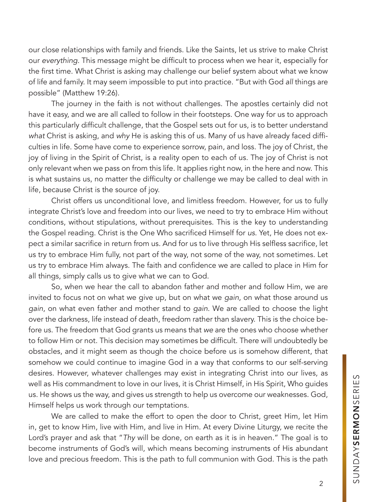our close relationships with family and friends. Like the Saints, let us strive to make Christ our *everything*. This message might be difficult to process when we hear it, especially for the first time. What Christ is asking may challenge our belief system about what we know of life and family. It may seem impossible to put into practice. "But with God *all* things are possible" (Matthew 19:26).

The journey in the faith is not without challenges. The apostles certainly did not have it easy, and we are all called to follow in their footsteps. One way for us to approach this particularly difficult challenge, that the Gospel sets out for us, is to better understand *what* Christ is asking, and *why* He is asking this of us. Many of us have already faced difficulties in life. Some have come to experience sorrow, pain, and loss. The joy of Christ, the joy of living in the Spirit of Christ, is a reality open to each of us. The joy of Christ is not only relevant when we pass on from this life. It applies right now, in the here and now. This is what sustains us, no matter the difficulty or challenge we may be called to deal with in life, because Christ is the source of joy.

Christ offers us unconditional love, and limitless freedom. However, for us to fully integrate Christ's love and freedom into our lives, we need to try to embrace Him without conditions, without stipulations, without prerequisites. This is the key to understanding the Gospel reading. Christ is the One Who sacrificed Himself for *us*. Yet, He does not expect a similar sacrifice in return from us. And for us to live through His selfless sacrifice, let us try to embrace Him fully, not part of the way, not some of the way, not sometimes. Let us try to embrace Him always. The faith and confidence we are called to place in Him for all things, simply calls us to give what we can to God.

So, when we hear the call to abandon father and mother and follow Him, we are invited to focus not on what we give up, but on what we *gain*, on what those around us *gain*, on what even father and mother stand to *gain*. We are called to choose the light over the darkness, life instead of death, freedom rather than slavery. This is the choice before us. The freedom that God grants us means that *we* are the ones who choose whether to follow Him or not. This decision may sometimes be difficult. There will undoubtedly be obstacles, and it might seem as though the choice before us is somehow different, that somehow we could continue to imagine God in a way that conforms to our self-serving desires. However, whatever challenges may exist in integrating Christ into our lives, as well as His commandment to love in our lives, it is Christ Himself, in His Spirit, Who guides us. He shows us the way, and gives us strength to help us overcome our weaknesses. God, Himself helps us work through our temptations.

We are called to make the effort to open the door to Christ, greet Him, let Him in, get to know Him, live with Him, and live in Him. At every Divine Liturgy, we recite the Lord's prayer and ask that "*Thy* will be done, on earth as it is in heaven." The goal is to become instruments of God's will, which means becoming instruments of His abundant love and precious freedom. This is the path to full communion with God. This is the path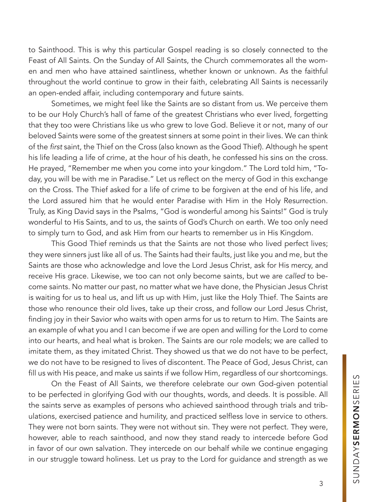to Sainthood. This is why this particular Gospel reading is so closely connected to the Feast of All Saints. On the Sunday of All Saints, the Church commemorates all the women and men who have attained saintliness, whether known or unknown. As the faithful throughout the world continue to grow in their faith, celebrating All Saints is necessarily an open-ended affair, including contemporary and future saints.

Sometimes, we might feel like the Saints are so distant from us. We perceive them to be our Holy Church's hall of fame of the greatest Christians who ever lived, forgetting that they too were Christians like us who grew to love God. Believe it or not, many of our beloved Saints were some of the greatest sinners at some point in their lives. We can think of the first saint, the Thief on the Cross (also known as the Good Thief). Although he spent his life leading a life of crime, at the hour of his death, he confessed his sins on the cross. He prayed, "Remember me when you come into your kingdom." The Lord told him, "Today, you will be with me in Paradise." Let us reflect on the mercy of God in this exchange on the Cross. The Thief asked for a life of crime to be forgiven at the end of his life, and the Lord assured him that he would enter Paradise with Him in the Holy Resurrection. Truly, as King David says in the Psalms, "God is wonderful among his Saints!" God is truly wonderful to His Saints, and to us, the saints of God's Church on earth. We too only need to simply turn to God, and ask Him from our hearts to remember us in His Kingdom.

This Good Thief reminds us that the Saints are not those who lived perfect lives; they were sinners just like all of us. The Saints had their faults, just like you and me, but the Saints are those who acknowledge and love the Lord Jesus Christ, ask for His mercy, and receive His grace. Likewise, we too can not only become saints, but we are *called* to become saints. No matter our past, no matter what we have done, the Physician Jesus Christ is waiting for us to heal us, and lift us up with Him, just like the Holy Thief. The Saints are those who renounce their old lives, take up their cross, and follow our Lord Jesus Christ, finding joy in their Savior who waits with open arms for us to return to Him. The Saints are an example of what you and I can become if we are open and willing for the Lord to come into our hearts, and heal what is broken. The Saints are our role models; we are called to imitate them, as they imitated Christ. They showed us that we do not have to be perfect, we do not have to be resigned to lives of discontent. The Peace of God, Jesus Christ, can fill us with His peace, and make us saints if we follow Him, regardless of our shortcomings.

On the Feast of All Saints, we therefore celebrate our own God-given potential to be perfected in glorifying God with our thoughts, words, and deeds. It is possible. All the saints serve as examples of persons who achieved sainthood through trials and tribulations, exercised patience and humility, and practiced selfless love in service to others. They were not born saints. They were not without sin. They were not perfect. They were, however, able to reach sainthood, and now they stand ready to intercede before God in favor of our own salvation. They intercede on our behalf while we continue engaging in our struggle toward holiness. Let us pray to the Lord for guidance and strength as we